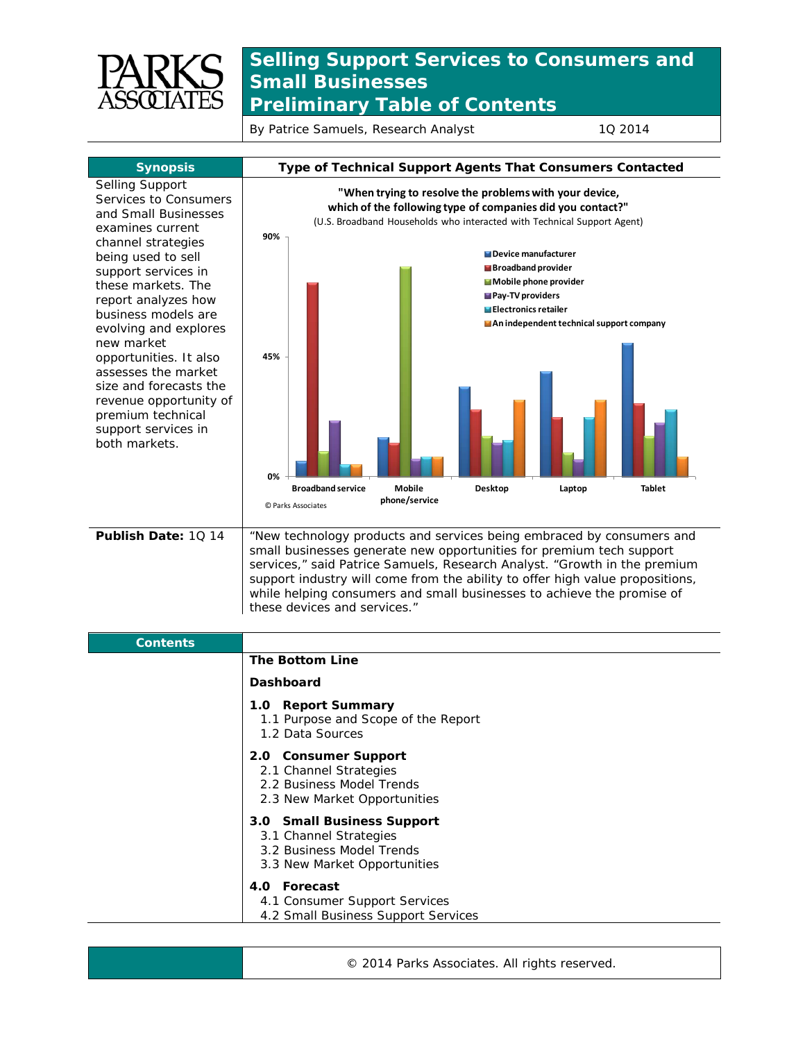

## **Selling Support Services to Consumers and Small Businesses** *Preliminary Table of Contents*

By Patrice Samuels, Research Analyst 10 2014



| <b>Contents</b> |                                                                                                                   |
|-----------------|-------------------------------------------------------------------------------------------------------------------|
|                 | <b>The Bottom Line</b>                                                                                            |
|                 | Dashboard                                                                                                         |
|                 | 1.0 Report Summary<br>1.1 Purpose and Scope of the Report<br>1.2 Data Sources                                     |
|                 | 2.0 Consumer Support<br>2.1 Channel Strategies<br>2.2 Business Model Trends<br>2.3 New Market Opportunities       |
|                 | 3.0 Small Business Support<br>3.1 Channel Strategies<br>3.2 Business Model Trends<br>3.3 New Market Opportunities |
|                 | 4.0 Forecast<br>4.1 Consumer Support Services<br>4.2 Small Business Support Services                              |

© 2014 Parks Associates. All rights reserved.